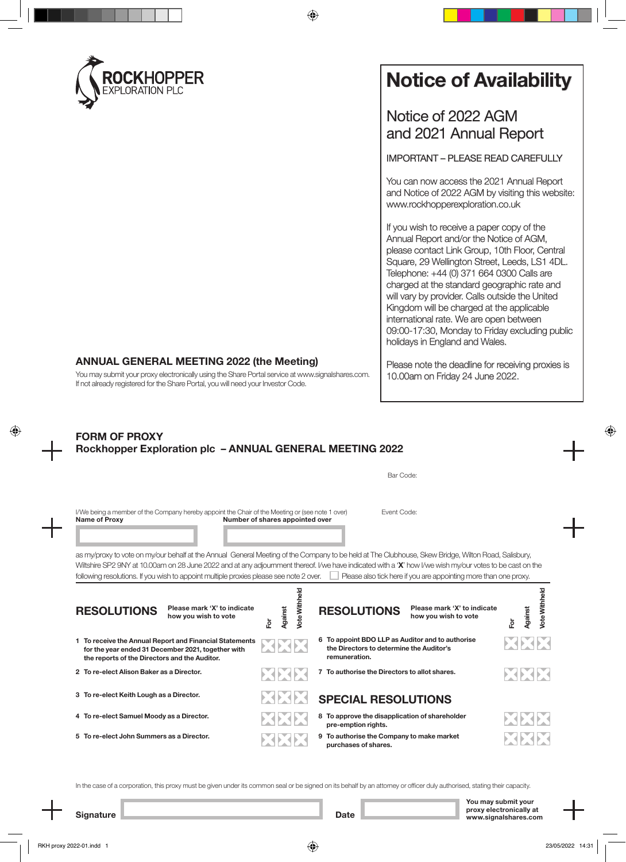

# **Notice of Availability**

Notice of 2022 AGM and 2021 Annual Report

IMPORTANT – PLEASE READ CAREFULLY

You can now access the 2021 Annual Report and Notice of 2022 AGM by visiting this website: www.rockhopperexploration.co.uk

If you wish to receive a paper copy of the Annual Report and/or the Notice of AGM, please contact Link Group, 10th Floor, Central Square, 29 Wellington Street, Leeds, LS1 4DL. Telephone: +44 (0) 371 664 0300 Calls are charged at the standard geographic rate and will vary by provider. Calls outside the United Kingdom will be charged at the applicable international rate. We are open between 09:00-17:30, Monday to Friday excluding public holidays in England and Wales.

**ANNUAL GENERAL MEETING 2022 (the Meeting)**

You may submit your proxy electronically using the Share Portal service at www.signalshares.com. If not already registered for the Share Portal, you will need your Investor Code.

## 10.00am on Friday 24 June 2022.

Please note the deadline for receiving proxies is

### **FORM OF PROXY Rockhopper Exploration plc – ANNUAL GENERAL MEETING 2022**

|                                                                                                                                                                                                                                                                                                                                                                                                                                                                               |                                 | Bar Code:                                                                                                     |                                              |
|-------------------------------------------------------------------------------------------------------------------------------------------------------------------------------------------------------------------------------------------------------------------------------------------------------------------------------------------------------------------------------------------------------------------------------------------------------------------------------|---------------------------------|---------------------------------------------------------------------------------------------------------------|----------------------------------------------|
| I/We being a member of the Company hereby appoint the Chair of the Meeting or (see note 1 over)<br><b>Name of Proxy</b>                                                                                                                                                                                                                                                                                                                                                       | Number of shares appointed over | Event Code:                                                                                                   |                                              |
| as my/proxy to vote on my/our behalf at the Annual General Meeting of the Company to be held at The Clubhouse, Skew Bridge, Wilton Road, Salisbury,<br>Wiltshire SP2 9NY at 10.00am on 28 June 2022 and at any adjournment thereof. I/we have indicated with a 'X' how I/we wish my/our votes to be cast on the<br>following resolutions. If you wish to appoint multiple proxies please see note 2 over.<br>Please also tick here if you are appointing more than one proxy. |                                 |                                                                                                               |                                              |
| Please mark 'X' to indicate<br><b>RESOLUTIONS</b><br>how you wish to vote                                                                                                                                                                                                                                                                                                                                                                                                     | Vote Withheld<br>Against<br>훈   | Please mark 'X' to indicate<br><b>RESOLUTIONS</b><br>how you wish to vote                                     | <b>Vote Withheld</b><br><b>Against</b><br>Ĕδ |
| 1 To receive the Annual Report and Financial Statements<br>for the year ended 31 December 2021, together with<br>the reports of the Directors and the Auditor.                                                                                                                                                                                                                                                                                                                |                                 | 6 To appoint BDO LLP as Auditor and to authorise<br>the Directors to determine the Auditor's<br>remuneration. |                                              |
| 2 To re-elect Alison Baker as a Director.                                                                                                                                                                                                                                                                                                                                                                                                                                     |                                 | 7 To authorise the Directors to allot shares.                                                                 | E. OE                                        |
| 3 To re-elect Keith Lough as a Director.                                                                                                                                                                                                                                                                                                                                                                                                                                      | ESPERE                          | <b>SPECIAL RESOLUTIONS</b>                                                                                    |                                              |
| 4 To re-elect Samuel Moody as a Director.                                                                                                                                                                                                                                                                                                                                                                                                                                     |                                 | 8 To approve the disapplication of shareholder<br>pre-emption rights.                                         |                                              |
| 5 To re-elect John Summers as a Director.                                                                                                                                                                                                                                                                                                                                                                                                                                     |                                 | 9 To authorise the Company to make market<br>purchases of shares.                                             |                                              |

In the case of a corporation, this proxy must be given under its common seal or be signed on its behalf by an attorney or officer duly authorised, stating their capacity.

**You may submit your proxy electronically at www.signalshares.com**